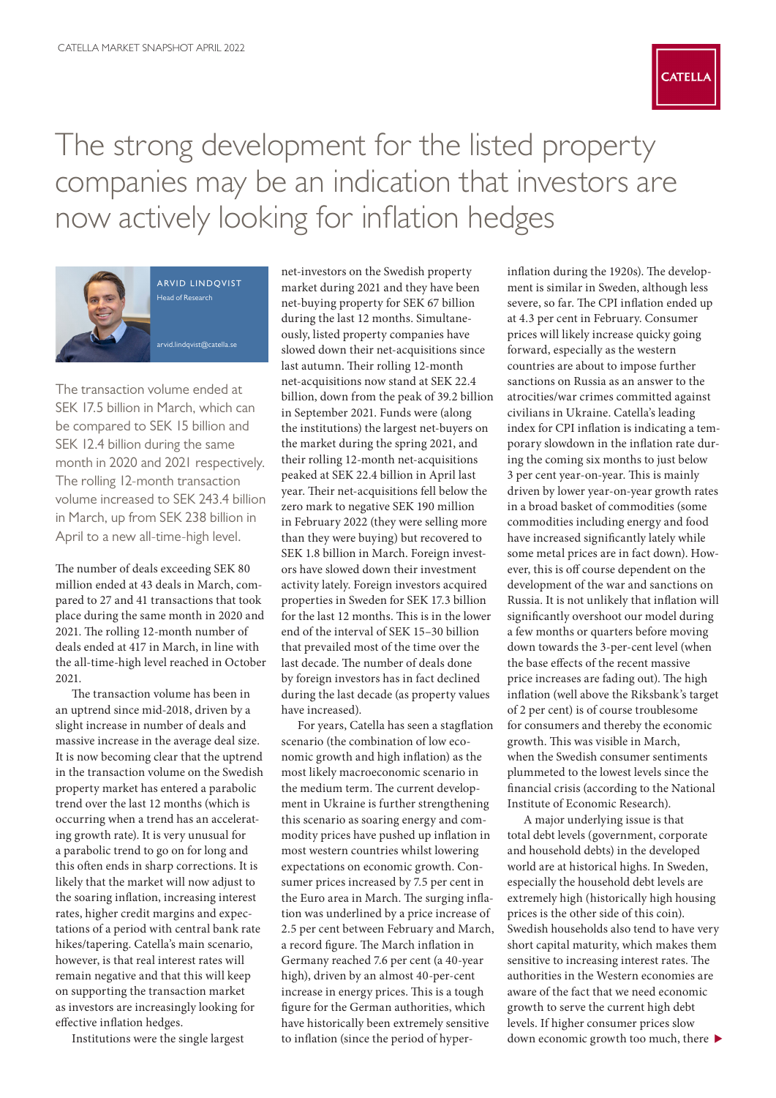

The strong development for the listed property companies may be an indication that investors are now actively looking for inflation hedges



arvid lindqvist Head of Research

[arvid.lindqvist@catella.se](mailto:arvid.lindqvist%40catella.se?subject=)

The transaction volume ended at SEK 17.5 billion in March, which can be compared to SEK 15 billion and SEK 12.4 billion during the same month in 2020 and 2021 respectively. The rolling 12-month transaction volume increased to SEK 243.4 billion in March, up from SEK 238 billion in April to a new all-time-high level.

The number of deals exceeding SEK 80 million ended at 43 deals in March, compared to 27 and 41 transactions that took place during the same month in 2020 and 2021. The rolling 12-month number of deals ended at 417 in March, in line with the all-time-high level reached in October 2021.

The transaction volume has been in an uptrend since mid-2018, driven by a slight increase in number of deals and massive increase in the average deal size. It is now becoming clear that the uptrend in the transaction volume on the Swedish property market has entered a parabolic trend over the last 12 months (which is occurring when a trend has an accelerating growth rate). It is very unusual for a parabolic trend to go on for long and this often ends in sharp corrections. It is likely that the market will now adjust to the soaring inflation, increasing interest rates, higher credit margins and expectations of a period with central bank rate hikes/tapering. Catella's main scenario, however, is that real interest rates will remain negative and that this will keep on supporting the transaction market as investors are increasingly looking for effective inflation hedges.

Institutions were the single largest

net-investors on the Swedish property market during 2021 and they have been net-buying property for SEK 67 billion during the last 12 months. Simultaneously, listed property companies have slowed down their net-acquisitions since last autumn. Their rolling 12-month net-acquisitions now stand at SEK 22.4 billion, down from the peak of 39.2 billion in September 2021. Funds were (along the institutions) the largest net-buyers on the market during the spring 2021, and their rolling 12-month net-acquisitions peaked at SEK 22.4 billion in April last year. Their net-acquisitions fell below the zero mark to negative SEK 190 million in February 2022 (they were selling more than they were buying) but recovered to SEK 1.8 billion in March. Foreign investors have slowed down their investment activity lately. Foreign investors acquired properties in Sweden for SEK 17.3 billion for the last 12 months. This is in the lower end of the interval of SEK 15–30 billion that prevailed most of the time over the last decade. The number of deals done by foreign investors has in fact declined during the last decade (as property values have increased).

For years, Catella has seen a stagflation scenario (the combination of low economic growth and high inflation) as the most likely macroeconomic scenario in the medium term. The current development in Ukraine is further strengthening this scenario as soaring energy and commodity prices have pushed up inflation in most western countries whilst lowering expectations on economic growth. Consumer prices increased by 7.5 per cent in the Euro area in March. The surging inflation was underlined by a price increase of 2.5 per cent between February and March, a record figure. The March inflation in Germany reached 7.6 per cent (a 40-year high), driven by an almost 40-per-cent increase in energy prices. This is a tough figure for the German authorities, which have historically been extremely sensitive to inflation (since the period of hyperinflation during the 1920s). The development is similar in Sweden, although less severe, so far. The CPI inflation ended up at 4.3 per cent in February. Consumer prices will likely increase quicky going forward, especially as the western countries are about to impose further sanctions on Russia as an answer to the atrocities/war crimes committed against civilians in Ukraine. Catella's leading index for CPI inflation is indicating a temporary slowdown in the inflation rate during the coming six months to just below 3 per cent year-on-year. This is mainly driven by lower year-on-year growth rates in a broad basket of commodities (some commodities including energy and food have increased significantly lately while some metal prices are in fact down). However, this is off course dependent on the development of the war and sanctions on Russia. It is not unlikely that inflation will significantly overshoot our model during a few months or quarters before moving down towards the 3-per-cent level (when the base effects of the recent massive price increases are fading out). The high inflation (well above the Riksbank's target of 2 per cent) is of course troublesome for consumers and thereby the economic growth. This was visible in March, when the Swedish consumer sentiments plummeted to the lowest levels since the financial crisis (according to the National Institute of Economic Research).

A major underlying issue is that total debt levels (government, corporate and household debts) in the developed world are at historical highs. In Sweden, especially the household debt levels are extremely high (historically high housing prices is the other side of this coin). Swedish households also tend to have very short capital maturity, which makes them sensitive to increasing interest rates. The authorities in the Western economies are aware of the fact that we need economic growth to serve the current high debt levels. If higher consumer prices slow down economic growth too much, there ▶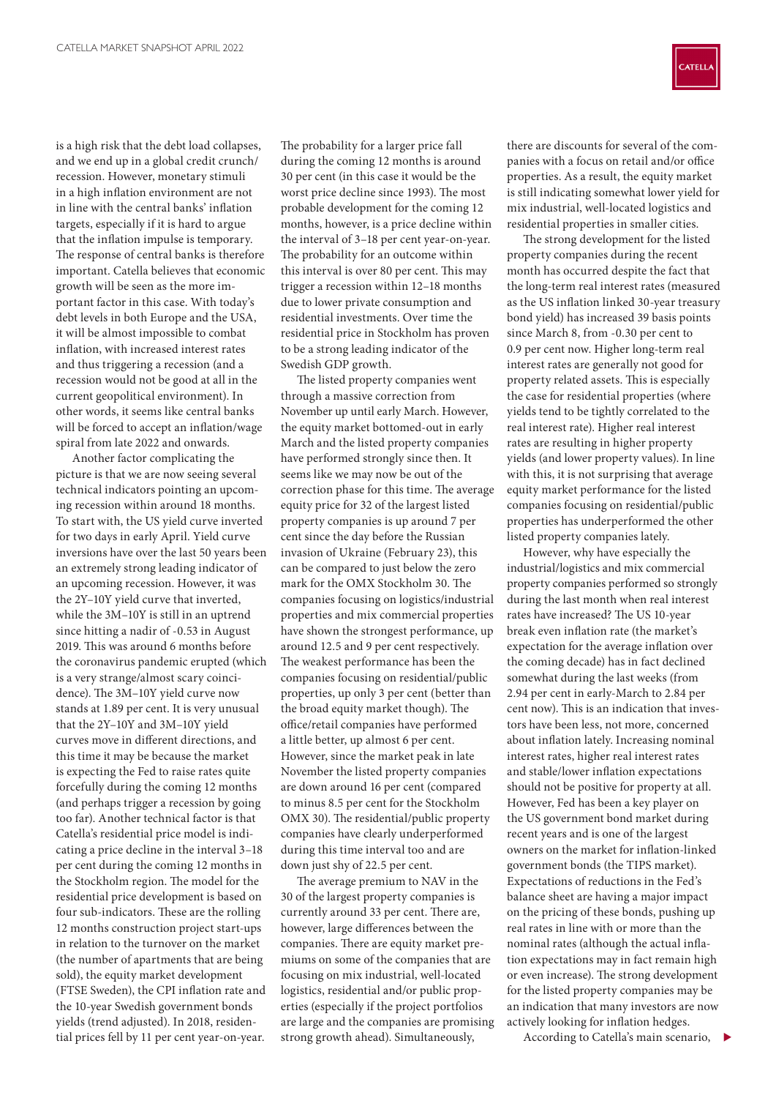

Another factor complicating the picture is that we are now seeing several technical indicators pointing an upcoming recession within around 18 months. To start with, the US yield curve inverted for two days in early April. Yield curve inversions have over the last 50 years been an extremely strong leading indicator of an upcoming recession. However, it was the 2Y–10Y yield curve that inverted, while the 3M–10Y is still in an uptrend since hitting a nadir of -0.53 in August 2019. This was around 6 months before the coronavirus pandemic erupted (which is a very strange/almost scary coincidence). The 3M–10Y yield curve now stands at 1.89 per cent. It is very unusual that the 2Y–10Y and 3M–10Y yield curves move in different directions, and this time it may be because the market is expecting the Fed to raise rates quite forcefully during the coming 12 months (and perhaps trigger a recession by going too far). Another technical factor is that Catella's residential price model is indicating a price decline in the interval 3–18 per cent during the coming 12 months in the Stockholm region. The model for the residential price development is based on four sub-indicators. These are the rolling 12 months construction project start-ups in relation to the turnover on the market (the number of apartments that are being sold), the equity market development (FTSE Sweden), the CPI inflation rate and the 10-year Swedish government bonds yields (trend adjusted). In 2018, residential prices fell by 11 per cent year-on-year.

The probability for a larger price fall during the coming 12 months is around 30 per cent (in this case it would be the worst price decline since 1993). The most probable development for the coming 12 months, however, is a price decline within the interval of 3–18 per cent year-on-year. The probability for an outcome within this interval is over 80 per cent. This may trigger a recession within 12–18 months due to lower private consumption and residential investments. Over time the residential price in Stockholm has proven to be a strong leading indicator of the Swedish GDP growth.

The listed property companies went through a massive correction from November up until early March. However, the equity market bottomed-out in early March and the listed property companies have performed strongly since then. It seems like we may now be out of the correction phase for this time. The average equity price for 32 of the largest listed property companies is up around 7 per cent since the day before the Russian invasion of Ukraine (February 23), this can be compared to just below the zero mark for the OMX Stockholm 30. The companies focusing on logistics/industrial properties and mix commercial properties have shown the strongest performance, up around 12.5 and 9 per cent respectively. The weakest performance has been the companies focusing on residential/public properties, up only 3 per cent (better than the broad equity market though). The office/retail companies have performed a little better, up almost 6 per cent. However, since the market peak in late November the listed property companies are down around 16 per cent (compared to minus 8.5 per cent for the Stockholm OMX 30). The residential/public property companies have clearly underperformed during this time interval too and are down just shy of 22.5 per cent.

The average premium to NAV in the 30 of the largest property companies is currently around 33 per cent. There are, however, large differences between the companies. There are equity market premiums on some of the companies that are focusing on mix industrial, well-located logistics, residential and/or public properties (especially if the project portfolios are large and the companies are promising strong growth ahead). Simultaneously,

there are discounts for several of the companies with a focus on retail and/or office properties. As a result, the equity market is still indicating somewhat lower yield for mix industrial, well-located logistics and residential properties in smaller cities.

The strong development for the listed property companies during the recent month has occurred despite the fact that the long-term real interest rates (measured as the US inflation linked 30-year treasury bond yield) has increased 39 basis points since March 8, from -0.30 per cent to 0.9 per cent now. Higher long-term real interest rates are generally not good for property related assets. This is especially the case for residential properties (where yields tend to be tightly correlated to the real interest rate). Higher real interest rates are resulting in higher property yields (and lower property values). In line with this, it is not surprising that average equity market performance for the listed companies focusing on residential/public properties has underperformed the other listed property companies lately.

However, why have especially the industrial/logistics and mix commercial property companies performed so strongly during the last month when real interest rates have increased? The US 10-year break even inflation rate (the market's expectation for the average inflation over the coming decade) has in fact declined somewhat during the last weeks (from 2.94 per cent in early-March to 2.84 per cent now). This is an indication that investors have been less, not more, concerned about inflation lately. Increasing nominal interest rates, higher real interest rates and stable/lower inflation expectations should not be positive for property at all. However, Fed has been a key player on the US government bond market during recent years and is one of the largest owners on the market for inflation-linked government bonds (the TIPS market). Expectations of reductions in the Fed's balance sheet are having a major impact on the pricing of these bonds, pushing up real rates in line with or more than the nominal rates (although the actual inflation expectations may in fact remain high or even increase). The strong development for the listed property companies may be an indication that many investors are now actively looking for inflation hedges.

According to Catella's main scenario,